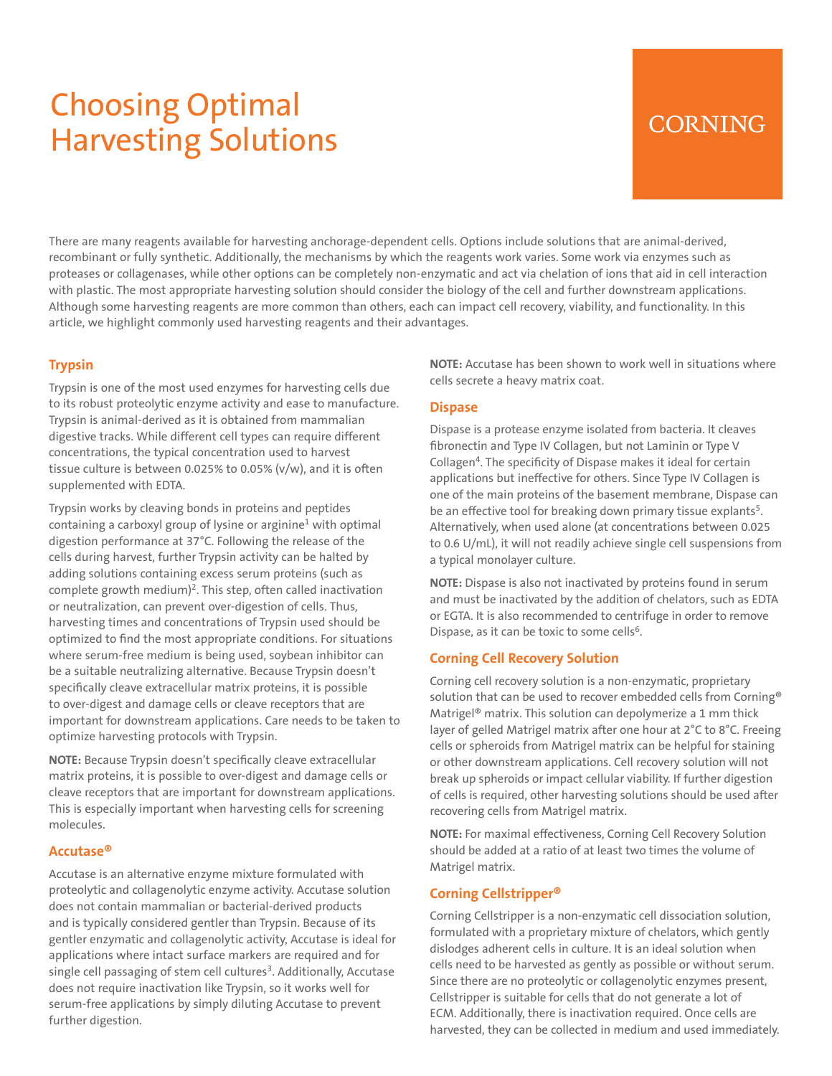# Choosing Optimal Harvesting Solutions

# **CORNING**

There are many reagents available for harvesting anchorage-dependent cells. Options include solutions that are animal-derived, recombinant or fully synthetic. Additionally, the mechanisms by which the reagents work varies. Some work via enzymes such as proteases or collagenases, while other options can be completely non-enzymatic and act via chelation of ions that aid in cell interaction with plastic. The most appropriate harvesting solution should consider the biology of the cell and further downstream applications. Although some harvesting reagents are more common than others, each can impact cell recovery, viability, and functionality. In this article, we highlight commonly used harvesting reagents and their advantages.

## **Trypsin**

Trypsin is one of the most used enzymes for harvesting cells due to its robust proteolytic enzyme activity and ease to manufacture. Trypsin is animal-derived as it is obtained from mammalian digestive tracks. While different cell types can require different concentrations, the typical concentration used to harvest tissue culture is between 0.025% to 0.05% (v/w), and it is often supplemented with EDTA.

Trypsin works by cleaving bonds in proteins and peptides containing a carboxyl group of lysine or arginine<sup>1</sup> with optimal digestion performance at 37°C. Following the release of the cells during harvest, further Trypsin activity can be halted by adding solutions containing excess serum proteins (such as complete growth medium)<sup>2</sup>. This step, often called inactivation or neutralization, can prevent over-digestion of cells. Thus, harvesting times and concentrations of Trypsin used should be optimized to find the most appropriate conditions. For situations where serum-free medium is being used, soybean inhibitor can be a suitable neutralizing alternative. Because Trypsin doesn't specifically cleave extracellular matrix proteins, it is possible to over-digest and damage cells or cleave receptors that are important for downstream applications. Care needs to be taken to optimize harvesting protocols with Trypsin.

**NOTE:** Because Trypsin doesn't specifically cleave extracellular matrix proteins, it is possible to over-digest and damage cells or cleave receptors that are important for downstream applications. This is especially important when harvesting cells for screening molecules.

### **Accutase®**

Accutase is an alternative enzyme mixture formulated with proteolytic and collagenolytic enzyme activity. Accutase solution does not contain mammalian or bacterial-derived products and is typically considered gentler than Trypsin. Because of its gentler enzymatic and collagenolytic activity, Accutase is ideal for applications where intact surface markers are required and for single cell passaging of stem cell cultures<sup>3</sup>. Additionally, Accutase does not require inactivation like Trypsin, so it works well for serum-free applications by simply diluting Accutase to prevent further digestion.

**NOTE:** Accutase has been shown to work well in situations where cells secrete a heavy matrix coat.

#### **Dispase**

Dispase is a protease enzyme isolated from bacteria. It cleaves fibronectin and Type IV Collagen, but not Laminin or Type V Collagen4. The specificity of Dispase makes it ideal for certain applications but ineffective for others. Since Type IV Collagen is one of the main proteins of the basement membrane, Dispase can be an effective tool for breaking down primary tissue explants<sup>5</sup>. Alternatively, when used alone (at concentrations between 0.025 to 0.6 U/mL), it will not readily achieve single cell suspensions from a typical monolayer culture.

**NOTE:** Dispase is also not inactivated by proteins found in serum and must be inactivated by the addition of chelators, such as EDTA or EGTA. It is also recommended to centrifuge in order to remove Dispase, as it can be toxic to some cells<sup>6</sup>.

### **Corning Cell Recovery Solution**

Corning cell recovery solution is a non-enzymatic, proprietary solution that can be used to recover embedded cells from Corning® Matrigel® matrix. This solution can depolymerize a 1 mm thick layer of gelled Matrigel matrix after one hour at 2°C to 8°C. Freeing cells or spheroids from Matrigel matrix can be helpful for staining or other downstream applications. Cell recovery solution will not break up spheroids or impact cellular viability. If further digestion of cells is required, other harvesting solutions should be used after recovering cells from Matrigel matrix.

**NOTE:** For maximal effectiveness, Corning Cell Recovery Solution should be added at a ratio of at least two times the volume of Matrigel matrix.

### **Corning Cellstripper®**

Corning Cellstripper is a non-enzymatic cell dissociation solution, formulated with a proprietary mixture of chelators, which gently dislodges adherent cells in culture. It is an ideal solution when cells need to be harvested as gently as possible or without serum. Since there are no proteolytic or collagenolytic enzymes present, Cellstripper is suitable for cells that do not generate a lot of ECM. Additionally, there is inactivation required. Once cells are harvested, they can be collected in medium and used immediately.